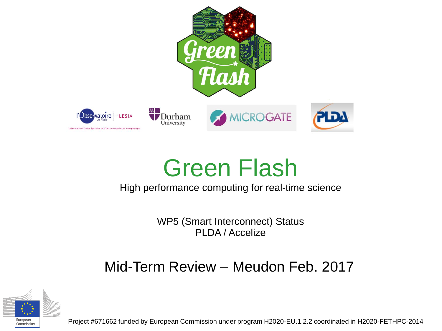

#### Green Flash

#### High performance computing for real-time science

WP5 (Smart Interconnect) Status PLDA / Accelize

#### Mid-Term Review – Meudon Feb. 2017



Commission

Project #671662 funded by European Commission under program H2020-EU.1.2.2 coordinated in H2020-FETHPC-2014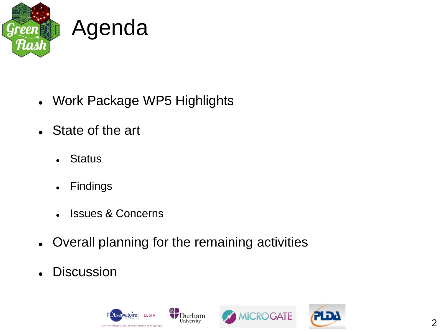

- Work Package WP5 Highlights
- State of the art
	- Status
	- Findings
	- **.** Issues & Concerns
- Overall planning for the remaining activities
- Discussion

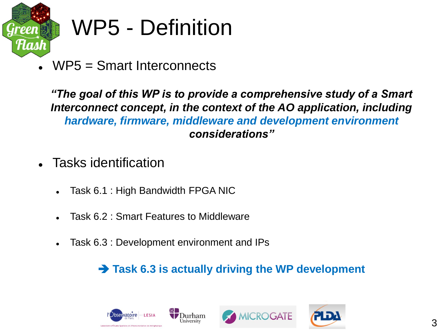

#### WP5 - Definition

WP5 = Smart Interconnects

*"The goal of this WP is to provide a comprehensive study of a Smart Interconnect concept, in the context of the AO application, including hardware, firmware, middleware and development environment considerations"*

- Tasks identification
	- Task 6.1 : High Bandwidth FPGA NIC
	- Task 6.2 : Smart Features to Middleware
	- Task 6.3 : Development environment and IPs

#### **→ Task 6.3 is actually driving the WP development**





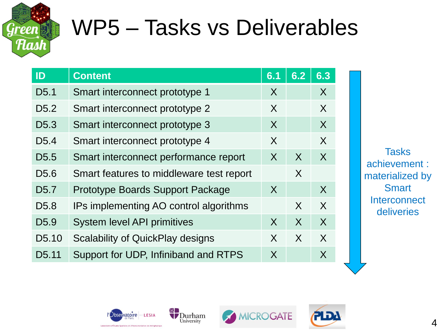

#### WP5 – Tasks vs Deliverables

| ID                 | <b>Content</b>                           | 6.1          | 6.2     | 6.3          |
|--------------------|------------------------------------------|--------------|---------|--------------|
| D <sub>5.1</sub>   | Smart interconnect prototype 1           | $\mathsf{X}$ |         | X            |
| D <sub>5.2</sub>   | Smart interconnect prototype 2           | X            |         | X            |
| D <sub>5.3</sub>   | Smart interconnect prototype 3           | X            |         | X            |
| D <sub>5.4</sub>   | Smart interconnect prototype 4           | X            |         | $\mathsf{X}$ |
| D <sub>5.5</sub>   | Smart interconnect performance report    | $\mathsf{X}$ | $\sf X$ | $\sf X$      |
| D <sub>5.6</sub>   | Smart features to middleware test report |              | X       |              |
| D <sub>5.7</sub>   | <b>Prototype Boards Support Package</b>  | $\mathsf{X}$ |         | X            |
| D <sub>5.8</sub>   | IPs implementing AO control algorithms   |              | X       | X            |
| D <sub>5.9</sub>   | <b>System level API primitives</b>       | $\sf X$      | X       | $\sf X$      |
| D <sub>5.10</sub>  | <b>Scalability of QuickPlay designs</b>  | X            | $\chi$  | X            |
| D <sub>5</sub> .11 | Support for UDP, Infiniband and RTPS     | X            |         | X            |

**Tasks** achievement : materialized by **Smart Interconnect** deliveries





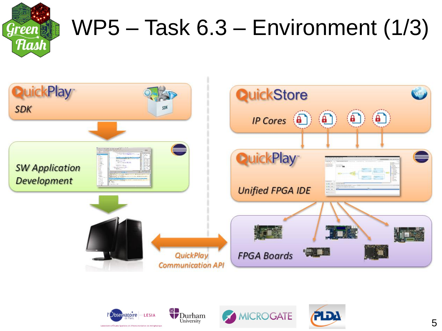

### WP5 – Task 6.3 – Environment (1/3)







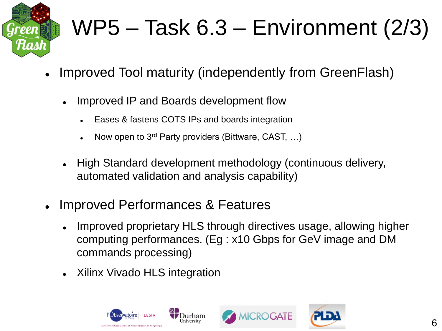

## WP5 – Task 6.3 – Environment (2/3)

- Improved Tool maturity (independently from GreenFlash)
	- Improved IP and Boards development flow
		- Eases & fastens COTS IPs and boards integration
		- Now open to 3rd Party providers (Bittware, CAST, …)
	- High Standard development methodology (continuous delivery, automated validation and analysis capability)
- Improved Performances & Features
	- Improved proprietary HLS through directives usage, allowing higher computing performances. (Eg : x10 Gbps for GeV image and DM commands processing)
	- Xilinx Vivado HLS integration





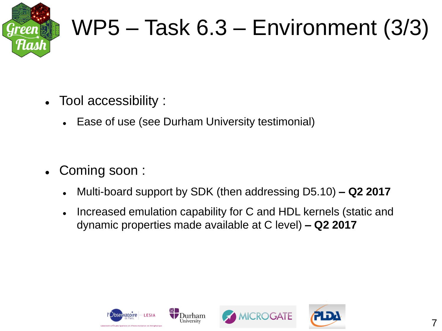

#### WP5 – Task 6.3 – Environment (3/3)

- Tool accessibility :
	- Ease of use (see Durham University testimonial)

- Coming soon :
	- Multi-board support by SDK (then addressing D5.10) **– Q2 2017**
	- Increased emulation capability for C and HDL kernels (static and dynamic properties made available at C level) **– Q2 2017**



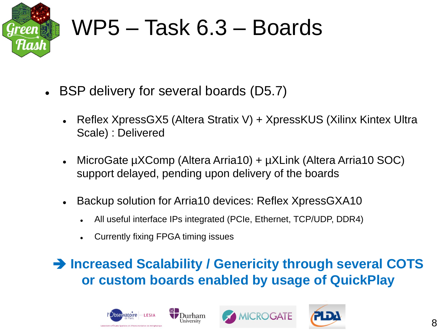

#### WP5 – Task 6.3 – Boards

- BSP delivery for several boards (D5.7)
	- Reflex XpressGX5 (Altera Stratix V) + XpressKUS (Xilinx Kintex Ultra Scale) : Delivered
	- MicroGate µXComp (Altera Arria10) + µXLink (Altera Arria10 SOC) support delayed, pending upon delivery of the boards
	- Backup solution for Arria10 devices: Reflex XpressGXA10
		- All useful interface IPs integrated (PCIe, Ethernet, TCP/UDP, DDR4)
		- Currently fixing FPGA timing issues

#### **Increased Scalability / Genericity through several COTS or custom boards enabled by usage of QuickPlay**





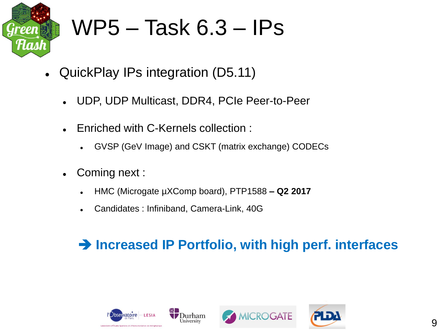

#### WP5 – Task 6.3 – IPs

- QuickPlay IPs integration (D5.11)
	- UDP, UDP Multicast, DDR4, PCIe Peer-to-Peer
	- Enriched with C-Kernels collection :
		- GVSP (GeV Image) and CSKT (matrix exchange) CODECs
	- Coming next :
		- HMC (Microgate µXComp board), PTP1588 **– Q2 2017**
		- Candidates : Infiniband, Camera-Link, 40G

#### **→ Increased IP Portfolio, with high perf. interfaces**





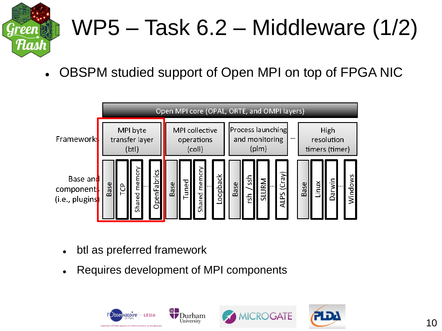

## WP5 – Task 6.2 – Middleware (1/2)

OBSPM studied support of Open MPI on top of FPGA NIC



- btl as preferred framework
- Requires development of MPI components





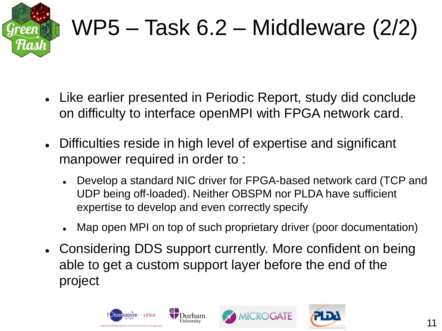

## WP5 – Task 6.2 – Middleware (2/2)

- Like earlier presented in Periodic Report, study did conclude on difficulty to interface openMPI with FPGA network card.
- Difficulties reside in high level of expertise and significant manpower required in order to :
	- Develop a standard NIC driver for FPGA-based network card (TCP and UDP being off-loaded). Neither OBSPM nor PLDA have sufficient expertise to develop and even correctly specify
	- Map open MPI on top of such proprietary driver (poor documentation)
- Considering DDS support currently. More confident on being able to get a custom support layer before the end of the project





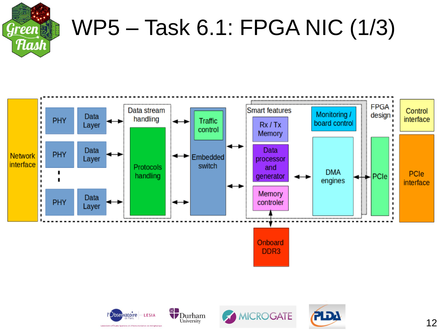

### WP5 – Task 6.1: FPGA NIC (1/3)







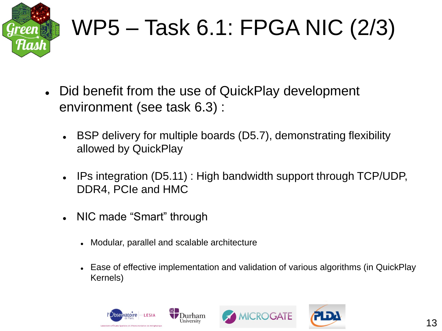

# WP5 – Task 6.1: FPGA NIC (2/3)

- Did benefit from the use of QuickPlay development environment (see task 6.3) :
	- BSP delivery for multiple boards (D5.7), demonstrating flexibility allowed by QuickPlay
	- IPs integration (D5.11) : High bandwidth support through TCP/UDP, DDR4, PCIe and HMC
	- NIC made "Smart" through
		- Modular, parallel and scalable architecture
		- Ease of effective implementation and validation of various algorithms (in QuickPlay Kernels)





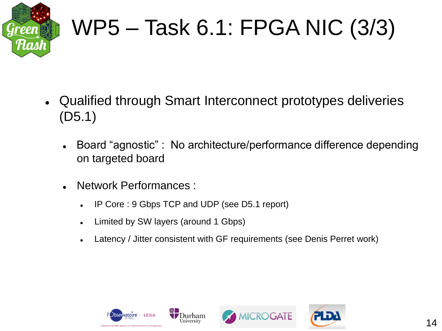

## WP5 – Task 6.1: FPGA NIC (3/3)

- Qualified through Smart Interconnect prototypes deliveries (D5.1)
	- Board "agnostic" : No architecture/performance difference depending on targeted board
	- Network Performances :
		- IP Core : 9 Gbps TCP and UDP (see D5.1 report)
		- Limited by SW layers (around 1 Gbps)
		- Latency / Jitter consistent with GF requirements (see Denis Perret work)





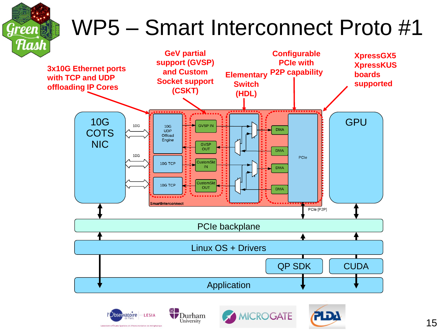## WP5 – Smart Interconnect Proto #1





**Green** 



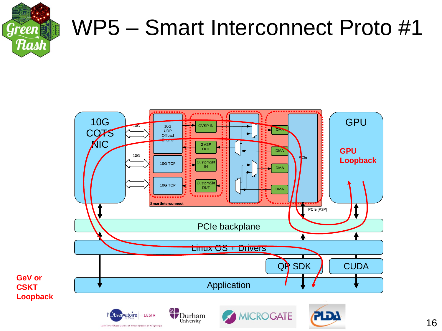

# WP5 – Smart Interconnect Proto #1

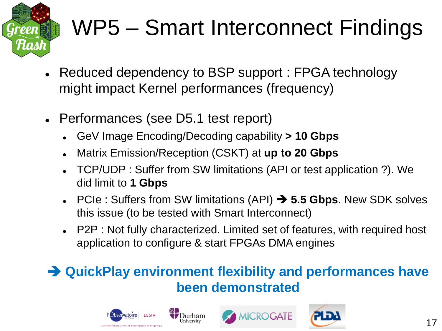

## WP5 – Smart Interconnect Findings

- Reduced dependency to BSP support : FPGA technology might impact Kernel performances (frequency)
- Performances (see D5.1 test report)
	- GeV Image Encoding/Decoding capability **> 10 Gbps**
	- Matrix Emission/Reception (CSKT) at **up to 20 Gbps**
	- TCP/UDP : Suffer from SW limitations (API or test application ?). We did limit to **1 Gbps**
	- PCIe : Suffers from SW limitations (API) **5.5 Gbps**. New SDK solves this issue (to be tested with Smart Interconnect)
	- P2P : Not fully characterized. Limited set of features, with required host application to configure & start FPGAs DMA engines

#### **QuickPlay environment flexibility and performances have been demonstrated**

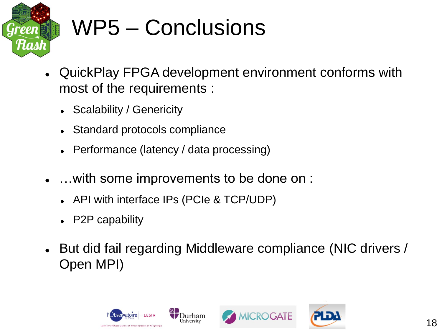

## WP5 – Conclusions

- QuickPlay FPGA development environment conforms with most of the requirements :
	- Scalability / Genericity
	- Standard protocols compliance
	- Performance (latency / data processing)
- …with some improvements to be done on :
	- API with interface IPs (PCIe & TCP/UDP)
	- P2P capability
- But did fail regarding Middleware compliance (NIC drivers / Open MPI)





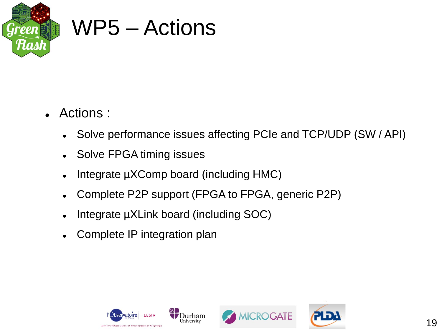

#### WP5 – Actions

- Actions :
	- Solve performance issues affecting PCIe and TCP/UDP (SW / API)
	- Solve FPGA timing issues
	- Integrate µXComp board (including HMC)
	- Complete P2P support (FPGA to FPGA, generic P2P)
	- Integrate µXLink board (including SOC)
	- Complete IP integration plan





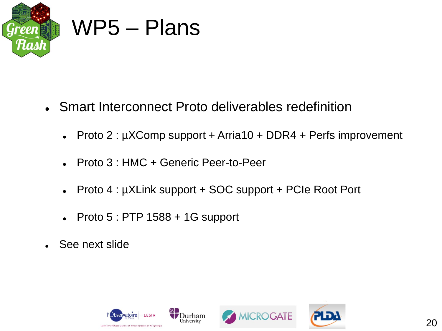

#### WP5 – Plans

- Smart Interconnect Proto deliverables redefinition
	- Proto 2 : µXComp support + Arria10 + DDR4 + Perfs improvement
	- Proto 3 : HMC + Generic Peer-to-Peer
	- Proto 4 : µXLink support + SOC support + PCIe Root Port
	- $\bullet$  Proto 5 : PTP 1588 + 1G support
- See next slide





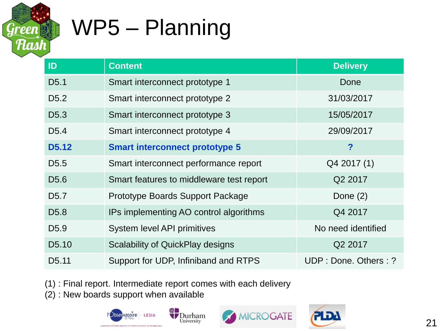

## WP5 – Planning

| ID                 | <b>Content</b>                           | <b>Delivery</b>      |
|--------------------|------------------------------------------|----------------------|
| D <sub>5.1</sub>   | Smart interconnect prototype 1           | Done                 |
| D <sub>5.2</sub>   | Smart interconnect prototype 2           | 31/03/2017           |
| D <sub>5.3</sub>   | Smart interconnect prototype 3           | 15/05/2017           |
| D <sub>5.4</sub>   | Smart interconnect prototype 4           | 29/09/2017           |
| <b>D5.12</b>       | <b>Smart interconnect prototype 5</b>    | ?                    |
| D <sub>5.5</sub>   | Smart interconnect performance report    | Q4 2017 (1)          |
| D <sub>5.6</sub>   | Smart features to middleware test report | Q2 2017              |
| D <sub>5.7</sub>   | Prototype Boards Support Package         | Done $(2)$           |
| D <sub>5.8</sub>   | IPs implementing AO control algorithms   | Q4 2017              |
| D <sub>5.9</sub>   | <b>System level API primitives</b>       | No need identified   |
| D <sub>5</sub> .10 | <b>Scalability of QuickPlay designs</b>  | Q2 2017              |
| D <sub>5</sub> .11 | Support for UDP, Infiniband and RTPS     | UDP: Done. Others: ? |

(1) : Final report. Intermediate report comes with each delivery

(2) : New boards support when available